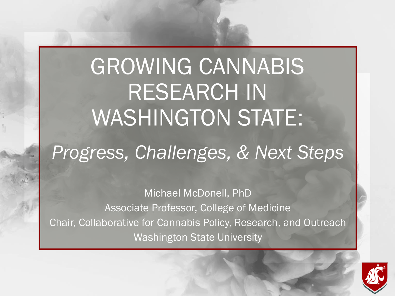## GROWING CANNABIS RESEARCH IN WASHINGTON STATE: *Progress, Challenges, & Next Steps*

Michael McDonell, PhD Associate Professor, College of Medicine Chair, Collaborative for Cannabis Policy, Research, and Outreach Washington State University

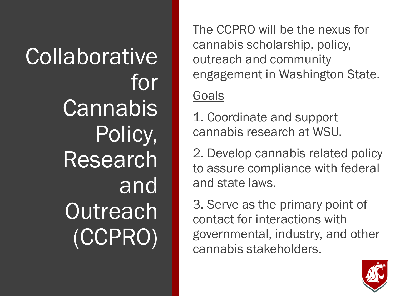Collaborative for **Cannabis** Policy, Research and **Outreach** (CCPRO)

The CCPRO will be the nexus for cannabis scholarship, policy, outreach and community engagement in Washington State.

#### **Goals**

1. Coordinate and support cannabis research at WSU.

2. Develop cannabis related policy to assure compliance with federal and state laws.

3. Serve as the primary point of contact for interactions with governmental, industry, and other cannabis stakeholders.

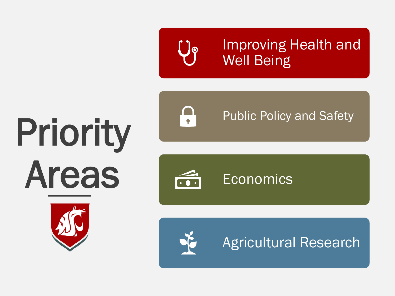

Improving Health and Well Being

# Priority Areas





Public Policy and Safety





Agricultural Research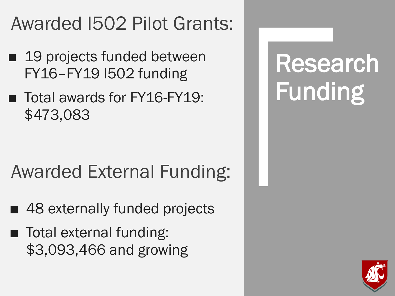#### Awarded I502 Pilot Grants:

- 19 projects funded between FY16–FY19 I502 funding
- Total awards for FY16-FY19: \$473,083

#### Awarded External Funding:

- 48 externally funded projects
- Total external funding: \$3,093,466 and growing

## Research Funding

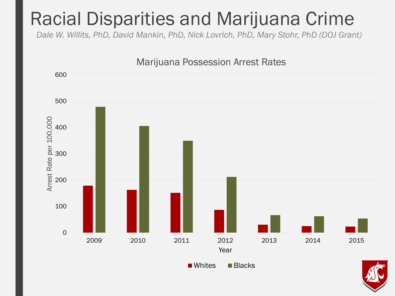#### Racial Disparities and Marijuana Crime

*Dale W. Willits, PhD, David Mankin, PhD, Nick Lovrich, PhD, Mary Stohr, PhD (DOJ Grant)*



■ Whites ■ Blacks

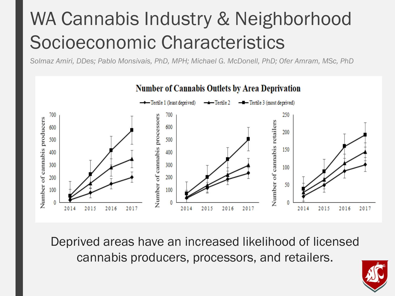### WA Cannabis Industry & Neighborhood Socioeconomic Characteristics

*Solmaz Amiri, DDes; Pablo Monsivais, PhD, MPH; Michael G. McDonell, PhD; Ofer Amram, MSc, PhD* 



Deprived areas have an increased likelihood of licensed cannabis producers, processors, and retailers.

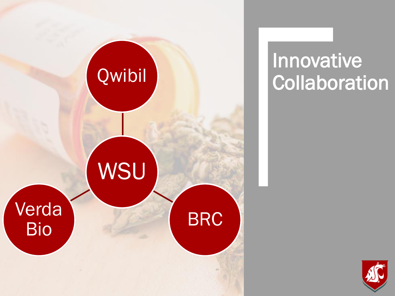

### **Innovative Collaboration**

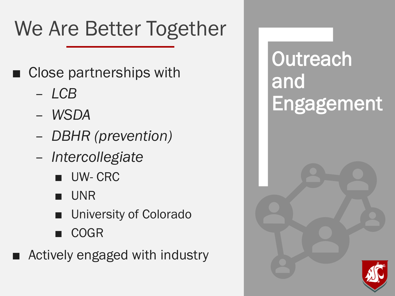## We Are Better Together

- Close partnerships with
	- *LCB*
	- *WSDA*
	- *DBHR (prevention)*
	- *Intercollegiate* 
		- UW- CRC
		- UNR
		- University of Colorado
		- COGR
	- Actively engaged with industry

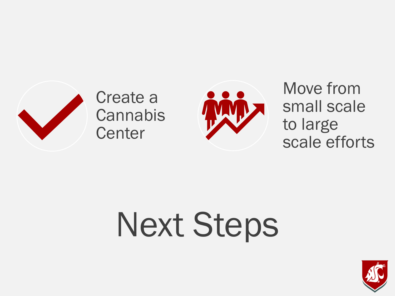

Create a **Cannabis Center** 



Move from small scale to large scale efforts

# Next Steps

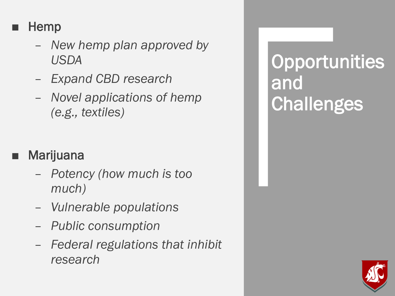#### **Hemp**

- *New hemp plan approved by USDA*
- *Expand CBD research*
- *Novel applications of hemp (e.g., textiles)*

#### **Marijuana**

- *Potency (how much is too much)*
- *Vulnerable populations*
- *Public consumption*
- *Federal regulations that inhibit research*

### **Opportunities** and **Challenges**

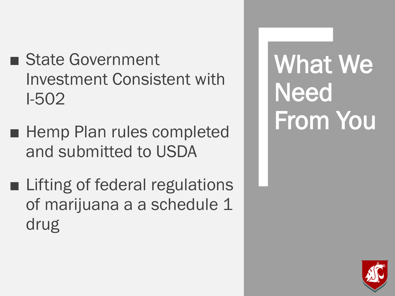- State Government Investment Consistent with I-502
- Hemp Plan rules completed and submitted to USDA
- Lifting of federal regulations of marijuana a a schedule 1 drug

What We **Need** From You